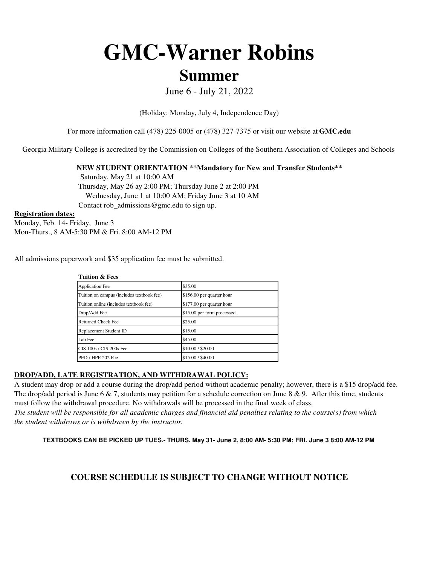# **GMC-Warner Robins**

# **Summer**

June 6 - July 21, 2022

(Holiday: Monday, July 4, Independence Day)

For more information call (478) 225-0005 or (478) 327-7375 or visit our website at **GMC.edu**

Georgia Military College is accredited by the Commission on Colleges of the Southern Association of Colleges and Schools

**NEW STUDENT ORIENTATION \*\*Mandatory for New and Transfer Students\*\***

 Wednesday, June 1 at 10:00 AM; Friday June 3 at 10 AM Contact rob\_admissions@gmc.edu to sign up. Saturday, May 21 at 10:00 AM Thursday, May 26 ay 2:00 PM; Thursday June 2 at 2:00 PM

#### **Registration dates:**

Monday, Feb. 14- Friday, June 3 Mon-Thurs., 8 AM-5:30 PM & Fri. 8:00 AM-12 PM

All admissions paperwork and \$35 application fee must be submitted.

**Tuition & Fees**

| <b>Application Fee</b>                    | \$35.00                    |
|-------------------------------------------|----------------------------|
| Tuition on campus (includes textbook fee) | \$156.00 per quarter hour  |
| Tuition online (includes textbook fee)    | \$177.00 per quarter hour  |
| Drop/Add Fee                              | \$15.00 per form processed |
| <b>Returned Check Fee</b>                 | \$25.00                    |
| Replacement Student ID                    | \$15.00                    |
| Lab Fee                                   | \$45.00                    |
| CIS 100s / CIS 200s Fee                   | \$10.00 / \$20.00          |
| PED / HPE 202 Fee                         | \$15.00 / \$40.00          |

### **DROP/ADD, LATE REGISTRATION, AND WITHDRAWAL POLICY:**

*the student withdraws or is withdrawn by the instructor.* A student may drop or add a course during the drop/add period without academic penalty; however, there is a \$15 drop/add fee. The drop/add period is June 6  $\&$  7, students may petition for a schedule correction on June 8  $\&$  9. After this time, students must follow the withdrawal procedure. No withdrawals will be processed in the final week of class. *The student will be responsible for all academic charges and financial aid penalties relating to the course(s) from which* 

**TEXTBOOKS CAN BE PICKED UP TUES.- THURS. May 31- June 2, 8:00 AM- 5:30 PM; FRI. June 3 8:00 AM-12 PM** 

## **COURSE SCHEDULE IS SUBJECT TO CHANGE WITHOUT NOTICE**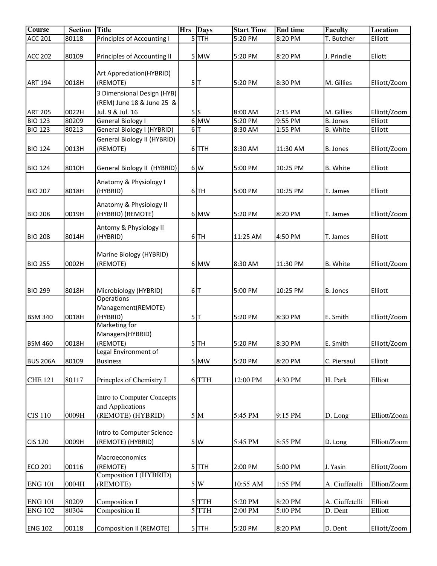| <b>Course</b>   | <b>Section</b> | <b>Title</b>                                 | <b>Hrs</b> | <b>Days</b> | <b>Start Time</b> | <b>End time</b> | <b>Faculty</b>  | <b>Location</b> |
|-----------------|----------------|----------------------------------------------|------------|-------------|-------------------|-----------------|-----------------|-----------------|
| <b>ACC 201</b>  | 80118          | Principles of Accounting I                   |            | $5$ TTH     | 5:20 PM           | 8:20 PM         | T. Butcher      | Elliott         |
| <b>ACC 202</b>  | 80109          | Principles of Accounting II                  |            | 5 MW        | 5:20 PM           | 8:20 PM         | J. Prindle      | Ellott          |
|                 |                |                                              |            |             |                   |                 |                 |                 |
|                 |                | Art Appreciation(HYBRID)                     |            |             |                   |                 |                 |                 |
| <b>ART 194</b>  | 0018H          | (REMOTE)                                     |            | 5 T         | 5:20 PM           | 8:30 PM         | M. Gillies      | Elliott/Zoom    |
|                 |                | 3 Dimensional Design (HYB)                   |            |             |                   |                 |                 |                 |
|                 |                | (REM) June 18 & June 25 &                    |            |             |                   |                 |                 |                 |
| <b>ART 205</b>  | 0022H          | Jul. 9 & Jul. 16                             |            | 5S          | 8:00 AM           | 2:15 PM         | M. Gillies      | Elliott/Zoom    |
| <b>BIO 123</b>  | 80209          | General Biology I                            |            | $6$ MW      | 5:20 PM           | 9:55 PM         | <b>B. Jones</b> | Elliott         |
| <b>BIO 123</b>  | 80213          | General Biology I (HYBRID)                   |            | 6 T         | 8:30 AM           | 1:55 PM         | <b>B.</b> White | Elliott         |
| <b>BIO 124</b>  | 0013H          | General Biology II (HYBRID)<br>(REMOTE)      |            | 6TTH        | 8:30 AM           | 11:30 AM        | B. Jones        | Elliott/Zoom    |
| <b>BIO 124</b>  | 8010H          | General Biology II (HYBRID)                  |            | 6W          | 5:00 PM           | 10:25 PM        | B. White        | Elliott         |
| <b>BIO 207</b>  | 8018H          | Anatomy & Physiology I<br>(HYBRID)           |            | $6$ TH      | 5:00 PM           | 10:25 PM        | T. James        | Elliott         |
| <b>BIO 208</b>  | 0019H          | Anatomy & Physiology II<br>(HYBRID) (REMOTE) |            | 6 MW        | 5:20 PM           | 8:20 PM         | T. James        | Elliott/Zoom    |
|                 |                | Antomy & Physiology II                       |            |             |                   |                 |                 |                 |
| <b>BIO 208</b>  | 8014H          | (HYBRID)                                     |            | $6$ TH      | 11:25 AM          | 4:50 PM         | T. James        | Elliott         |
|                 |                |                                              |            |             |                   |                 |                 |                 |
|                 |                | Marine Biology (HYBRID)                      |            |             |                   |                 |                 |                 |
| <b>BIO 255</b>  | 0002H          | (REMOTE)                                     |            | 6 MW        | 8:30 AM           | 11:30 PM        | <b>B.</b> White | Elliott/Zoom    |
|                 |                |                                              |            |             |                   |                 |                 |                 |
|                 |                |                                              |            |             |                   |                 |                 |                 |
| <b>BIO 299</b>  | 8018H          | Microbiology (HYBRID)                        |            | 6 T         | 5:00 PM           | 10:25 PM        | <b>B. Jones</b> | Elliott         |
|                 |                | <b>Operations</b>                            |            |             |                   |                 |                 |                 |
|                 |                | Management(REMOTE)<br>(HYBRID)               |            | 5 T         |                   |                 | E. Smith        |                 |
| <b>BSM 340</b>  | 0018H          | Marketing for                                |            |             | 5:20 PM           | 8:30 PM         |                 | Elliott/Zoom    |
|                 |                | Managers(HYBRID)                             |            |             |                   |                 |                 |                 |
| <b>BSM 460</b>  | 0018H          | (REMOTE)                                     |            | $5$ TH      | 5:20 PM           | 8:30 PM         | E. Smith        | Elliott/Zoom    |
|                 |                | Legal Environment of                         |            |             |                   |                 |                 |                 |
| <b>BUS 206A</b> | 80109          | <b>Business</b>                              |            | 5 MW        | 5:20 PM           | 8:20 PM         | C. Piersaul     | Elliott         |
|                 |                |                                              |            |             |                   |                 |                 |                 |
| <b>CHE 121</b>  | 80117          | Princples of Chemistry I                     |            | 6TTH        | 12:00 PM          | 4:30 PM         | H. Park         | Elliott         |
|                 |                |                                              |            |             |                   |                 |                 |                 |
|                 |                | Intro to Computer Concepts                   |            |             |                   |                 |                 |                 |
| <b>CIS 110</b>  | 0009H          | and Applications<br>(REMOTE) (HYBRID)        |            | 5 M         | 5:45 PM           | 9:15 PM         | D. Long         | Elliott/Zoom    |
|                 |                |                                              |            |             |                   |                 |                 |                 |
|                 |                | Intro to Computer Science                    |            |             |                   |                 |                 |                 |
| <b>CIS 120</b>  | 0009H          | (REMOTE) (HYBRID)                            |            | 5W          | 5:45 PM           | 8:55 PM         | D. Long         | Elliott/Zoom    |
|                 |                |                                              |            |             |                   |                 |                 |                 |
|                 |                | Macroeconomics                               |            |             |                   |                 |                 |                 |
| <b>ECO 201</b>  | 00116          | (REMOTE)                                     |            | $5$ TTH     | 2:00 PM           | 5:00 PM         | J. Yasin        | Elliott/Zoom    |
|                 |                | Composition I (HYBRID)                       |            |             |                   |                 |                 |                 |
| <b>ENG 101</b>  | 0004H          | (REMOTE)                                     |            | $5\vert W$  | 10:55 AM          | 1:55 PM         | A. Ciuffetelli  | Elliott/Zoom    |
| <b>ENG 101</b>  | 80209          | Composition I                                |            | $5$ TTH     | 5:20 PM           | 8:20 PM         | A. Ciuffetelli  | Elliott         |
| <b>ENG 102</b>  | 80304          | Composition II                               |            | $5$ TTH     | 2:00 PM           | 5:00 PM         | D. Dent         | Elliott         |
|                 |                |                                              |            |             |                   |                 |                 |                 |
| <b>ENG 102</b>  | 00118          | <b>Composition II (REMOTE)</b>               |            | $5$ $TH$    | 5:20 PM           | 8:20 PM         | D. Dent         | Elliott/Zoom    |